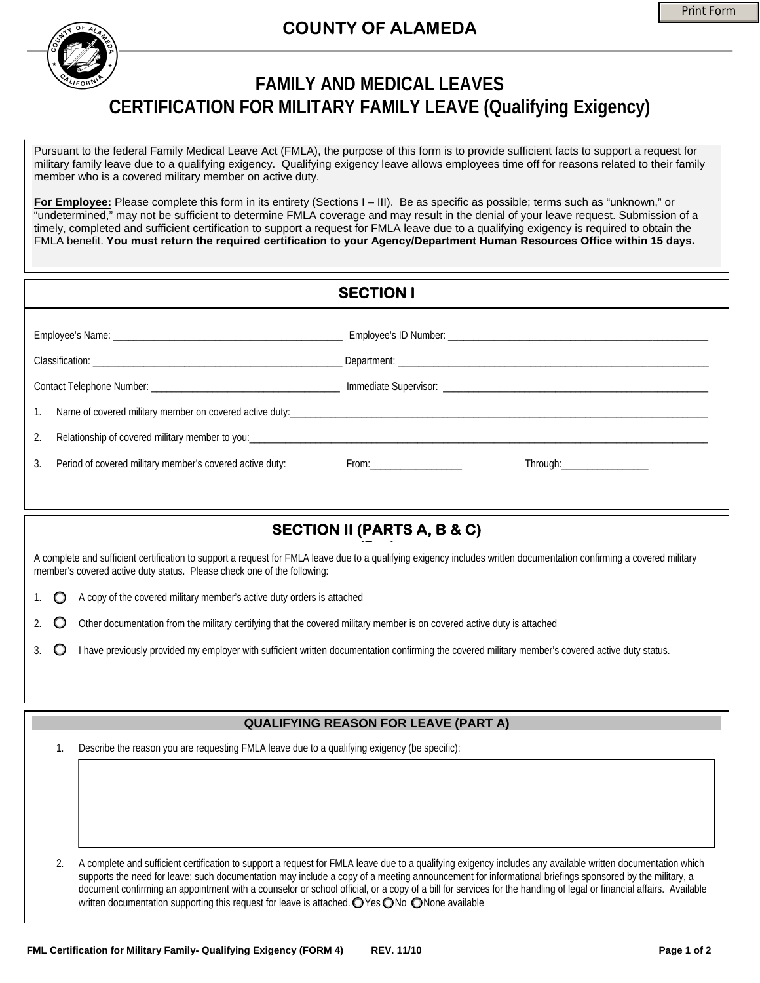## **COUNTY OF ALAMEDA**

## **FAMILY AND MEDICAL LEAVES CERTIFICATION FOR MILITARY FAMILY LEAVE (Qualifying Exigency)**

Pursuant to the federal Family Medical Leave Act (FMLA), the purpose of this form is to provide sufficient facts to support a request for military family leave due to a qualifying exigency. Qualifying exigency leave allows employees time off for reasons related to their family member who is a covered military member on active duty.

**For Employee:** Please complete this form in its entirety (Sections I – III). Be as specific as possible; terms such as "unknown," or "undetermined," may not be sufficient to determine FMLA coverage and may result in the denial of your leave request. Submission of a timely, completed and sufficient certification to support a request for FMLA leave due to a qualifying exigency is required to obtain the FMLA benefit. **You must return the required certification to your Agency/Department Human Resources Office within 15 days.** 

|    |                                                          | <b>SECTION I</b> |                                 |
|----|----------------------------------------------------------|------------------|---------------------------------|
|    |                                                          |                  |                                 |
|    |                                                          |                  |                                 |
|    |                                                          |                  |                                 |
|    |                                                          |                  |                                 |
| 2. |                                                          |                  |                                 |
| 3. | Period of covered military member's covered active duty: |                  | Through:_______________________ |
|    |                                                          |                  |                                 |

## **SECTION II (PARTS A, B & C)**

**(P <sup>t</sup>**A complete and sufficient certification to support a request for FMLA leave due to a qualifying exigency includes written documentation confirming a covered military member's covered active duty status. Please check one of the following:

- 1.  $\bigcirc$  A copy of the covered military member's active duty orders is attached
- 2.  $\bullet$  Other documentation from the military certifying that the covered military member is on covered active duty is attached
- 3.  $\bullet$  I have previously provided my employer with sufficient written documentation confirming the covered military member's covered active duty status.

## **QUALIFYING REASON FOR LEAVE (PART A)**

1. Describe the reason you are requesting FMLA leave due to a qualifying exigency (be specific):

2. A complete and sufficient certification to support a request for FMLA leave due to a qualifying exigency includes any available written documentation which supports the need for leave; such documentation may include a copy of a meeting announcement for informational briefings sponsored by the military, a document confirming an appointment with a counselor or school official, or a copy of a bill for services for the handling of legal or financial affairs. Available written documentation supporting this request for leave is attached.  $\bigcirc$  Yes  $\bigcirc$  No  $\bigcirc$  None available